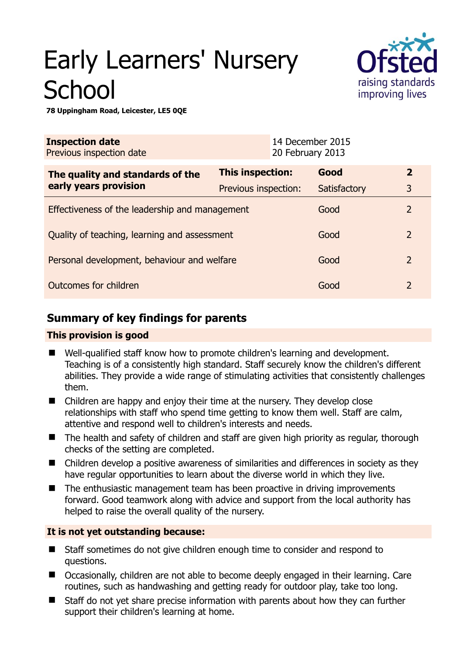# Early Learners' Nursery **School**



**78 Uppingham Road, Leicester, LE5 0QE** 

| <b>Inspection date</b><br>Previous inspection date        |                      | 14 December 2015<br>20 February 2013 |              |                |
|-----------------------------------------------------------|----------------------|--------------------------------------|--------------|----------------|
| The quality and standards of the<br>early years provision | This inspection:     |                                      | Good         | $\overline{2}$ |
|                                                           | Previous inspection: |                                      | Satisfactory | 3              |
| Effectiveness of the leadership and management            |                      |                                      | Good         | $\overline{2}$ |
| Quality of teaching, learning and assessment              |                      |                                      | Good         | $\overline{2}$ |
| Personal development, behaviour and welfare               |                      |                                      | Good         | $\overline{2}$ |
| Outcomes for children                                     |                      |                                      | Good         | $\overline{2}$ |

# **Summary of key findings for parents**

## **This provision is good**

- Well-qualified staff know how to promote children's learning and development. Teaching is of a consistently high standard. Staff securely know the children's different abilities. They provide a wide range of stimulating activities that consistently challenges them.
- Children are happy and enjoy their time at the nursery. They develop close relationships with staff who spend time getting to know them well. Staff are calm, attentive and respond well to children's interests and needs.
- The health and safety of children and staff are given high priority as regular, thorough checks of the setting are completed.
- Children develop a positive awareness of similarities and differences in society as they have regular opportunities to learn about the diverse world in which they live.
- The enthusiastic management team has been proactive in driving improvements forward. Good teamwork along with advice and support from the local authority has helped to raise the overall quality of the nursery.

## **It is not yet outstanding because:**

- Staff sometimes do not give children enough time to consider and respond to questions.
- Occasionally, children are not able to become deeply engaged in their learning. Care routines, such as handwashing and getting ready for outdoor play, take too long.
- Staff do not yet share precise information with parents about how they can further support their children's learning at home.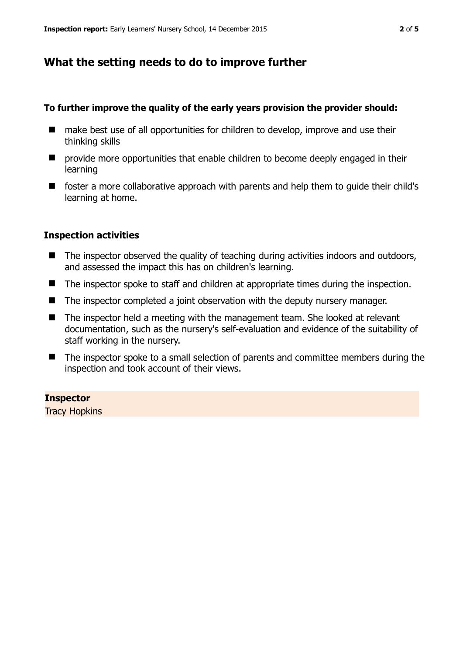## **What the setting needs to do to improve further**

#### **To further improve the quality of the early years provision the provider should:**

- make best use of all opportunities for children to develop, improve and use their thinking skills
- $\blacksquare$  provide more opportunities that enable children to become deeply engaged in their learning
- foster a more collaborative approach with parents and help them to quide their child's learning at home.

### **Inspection activities**

- The inspector observed the quality of teaching during activities indoors and outdoors, and assessed the impact this has on children's learning.
- The inspector spoke to staff and children at appropriate times during the inspection.
- The inspector completed a joint observation with the deputy nursery manager.
- The inspector held a meeting with the management team. She looked at relevant documentation, such as the nursery's self-evaluation and evidence of the suitability of staff working in the nursery.
- The inspector spoke to a small selection of parents and committee members during the inspection and took account of their views.

**Inspector**  Tracy Hopkins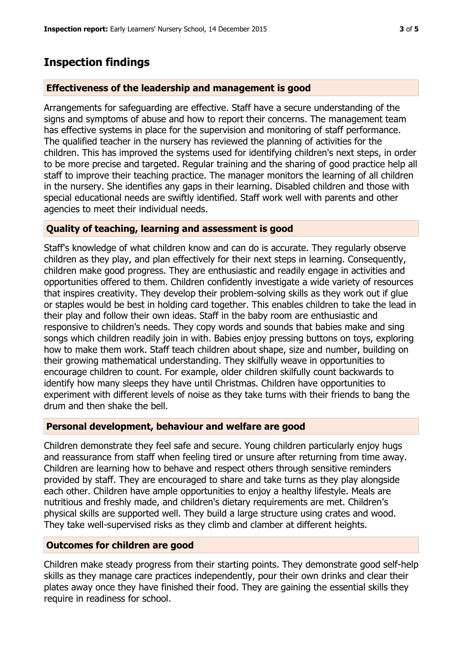## **Inspection findings**

## **Effectiveness of the leadership and management is good**

Arrangements for safeguarding are effective. Staff have a secure understanding of the signs and symptoms of abuse and how to report their concerns. The management team has effective systems in place for the supervision and monitoring of staff performance. The qualified teacher in the nursery has reviewed the planning of activities for the children. This has improved the systems used for identifying children's next steps, in order to be more precise and targeted. Regular training and the sharing of good practice help all staff to improve their teaching practice. The manager monitors the learning of all children in the nursery. She identifies any gaps in their learning. Disabled children and those with special educational needs are swiftly identified. Staff work well with parents and other agencies to meet their individual needs.

## **Quality of teaching, learning and assessment is good**

Staff's knowledge of what children know and can do is accurate. They regularly observe children as they play, and plan effectively for their next steps in learning. Consequently, children make good progress. They are enthusiastic and readily engage in activities and opportunities offered to them. Children confidently investigate a wide variety of resources that inspires creativity. They develop their problem-solving skills as they work out if glue or staples would be best in holding card together. This enables children to take the lead in their play and follow their own ideas. Staff in the baby room are enthusiastic and responsive to children's needs. They copy words and sounds that babies make and sing songs which children readily join in with. Babies enjoy pressing buttons on toys, exploring how to make them work. Staff teach children about shape, size and number, building on their growing mathematical understanding. They skilfully weave in opportunities to encourage children to count. For example, older children skilfully count backwards to identify how many sleeps they have until Christmas. Children have opportunities to experiment with different levels of noise as they take turns with their friends to bang the drum and then shake the bell.

### **Personal development, behaviour and welfare are good**

Children demonstrate they feel safe and secure. Young children particularly enjoy hugs and reassurance from staff when feeling tired or unsure after returning from time away. Children are learning how to behave and respect others through sensitive reminders provided by staff. They are encouraged to share and take turns as they play alongside each other. Children have ample opportunities to enjoy a healthy lifestyle. Meals are nutritious and freshly made, and children's dietary requirements are met. Children's physical skills are supported well. They build a large structure using crates and wood. They take well-supervised risks as they climb and clamber at different heights.

## **Outcomes for children are good**

Children make steady progress from their starting points. They demonstrate good self-help skills as they manage care practices independently, pour their own drinks and clear their plates away once they have finished their food. They are gaining the essential skills they require in readiness for school.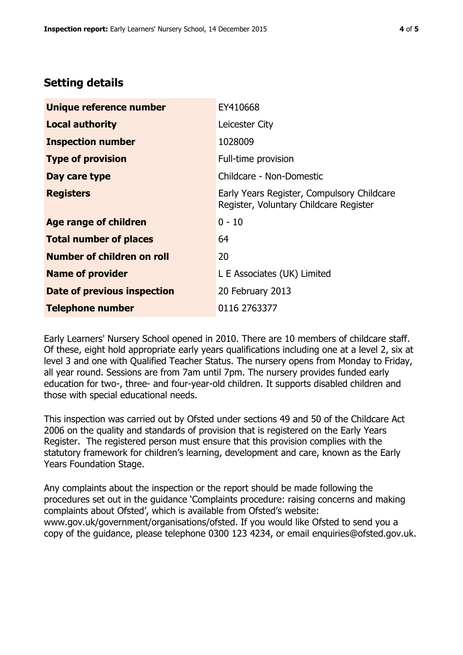## **Setting details**

| Unique reference number       | EY410668                                                                             |  |
|-------------------------------|--------------------------------------------------------------------------------------|--|
| <b>Local authority</b>        | Leicester City                                                                       |  |
| <b>Inspection number</b>      | 1028009                                                                              |  |
| <b>Type of provision</b>      | Full-time provision                                                                  |  |
| Day care type                 | Childcare - Non-Domestic                                                             |  |
| <b>Registers</b>              | Early Years Register, Compulsory Childcare<br>Register, Voluntary Childcare Register |  |
| <b>Age range of children</b>  | $0 - 10$                                                                             |  |
| <b>Total number of places</b> | 64                                                                                   |  |
| Number of children on roll    | 20                                                                                   |  |
| <b>Name of provider</b>       | L E Associates (UK) Limited                                                          |  |
| Date of previous inspection   | 20 February 2013                                                                     |  |
| <b>Telephone number</b>       | 0116 2763377                                                                         |  |

Early Learners' Nursery School opened in 2010. There are 10 members of childcare staff. Of these, eight hold appropriate early years qualifications including one at a level 2, six at level 3 and one with Qualified Teacher Status. The nursery opens from Monday to Friday, all year round. Sessions are from 7am until 7pm. The nursery provides funded early education for two-, three- and four-year-old children. It supports disabled children and those with special educational needs.

This inspection was carried out by Ofsted under sections 49 and 50 of the Childcare Act 2006 on the quality and standards of provision that is registered on the Early Years Register. The registered person must ensure that this provision complies with the statutory framework for children's learning, development and care, known as the Early Years Foundation Stage.

Any complaints about the inspection or the report should be made following the procedures set out in the guidance 'Complaints procedure: raising concerns and making complaints about Ofsted', which is available from Ofsted's website: www.gov.uk/government/organisations/ofsted. If you would like Ofsted to send you a copy of the guidance, please telephone 0300 123 4234, or email enquiries@ofsted.gov.uk.